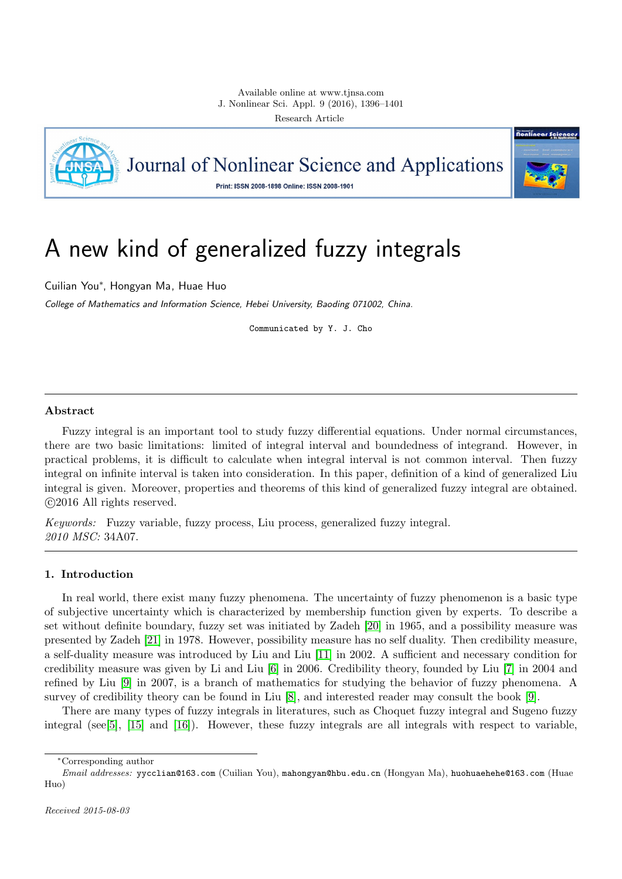

Journal of Nonlinear Science and Applications

Print: ISSN 2008-1898 Online: ISSN 2008-1901



# A new kind of generalized fuzzy integrals

Cuilian You<sup>∗</sup> , Hongyan Ma, Huae Huo

College of Mathematics and Information Science, Hebei University, Baoding 071002, China.

Communicated by Y. J. Cho

## Abstract

Fuzzy integral is an important tool to study fuzzy differential equations. Under normal circumstances, there are two basic limitations: limited of integral interval and boundedness of integrand. However, in practical problems, it is difficult to calculate when integral interval is not common interval. Then fuzzy integral on infinite interval is taken into consideration. In this paper, definition of a kind of generalized Liu integral is given. Moreover, properties and theorems of this kind of generalized fuzzy integral are obtained. c 2016 All rights reserved.

Keywords: Fuzzy variable, fuzzy process, Liu process, generalized fuzzy integral. 2010 MSC: 34A07.

# <span id="page-0-0"></span>1. Introduction

In real world, there exist many fuzzy phenomena. The uncertainty of fuzzy phenomenon is a basic type of subjective uncertainty which is characterized by membership function given by experts. To describe a set without definite boundary, fuzzy set was initiated by Zadeh [\[20\]](#page-5-0) in 1965, and a possibility measure was presented by Zadeh [\[21\]](#page-5-1) in 1978. However, possibility measure has no self duality. Then credibility measure, a self-duality measure was introduced by Liu and Liu [\[11\]](#page-5-2) in 2002. A sufficient and necessary condition for credibility measure was given by Li and Liu [\[6\]](#page-5-3) in 2006. Credibility theory, founded by Liu [\[7\]](#page-5-4) in 2004 and refined by Liu [\[9\]](#page-5-5) in 2007, is a branch of mathematics for studying the behavior of fuzzy phenomena. A survey of credibility theory can be found in Liu [\[8\]](#page-5-6), and interested reader may consult the book [\[9\]](#page-5-5).

There are many types of fuzzy integrals in literatures, such as Choquet fuzzy integral and Sugeno fuzzy integral (see[\[5\]](#page-5-7), [\[15\]](#page-5-8) and [\[16\]](#page-5-9)). However, these fuzzy integrals are all integrals with respect to variable,

<sup>∗</sup>Corresponding author

Email addresses: yycclian@163.com (Cuilian You), mahongyan@hbu.edu.cn (Hongyan Ma), huohuaehehe@163.com (Huae Huo)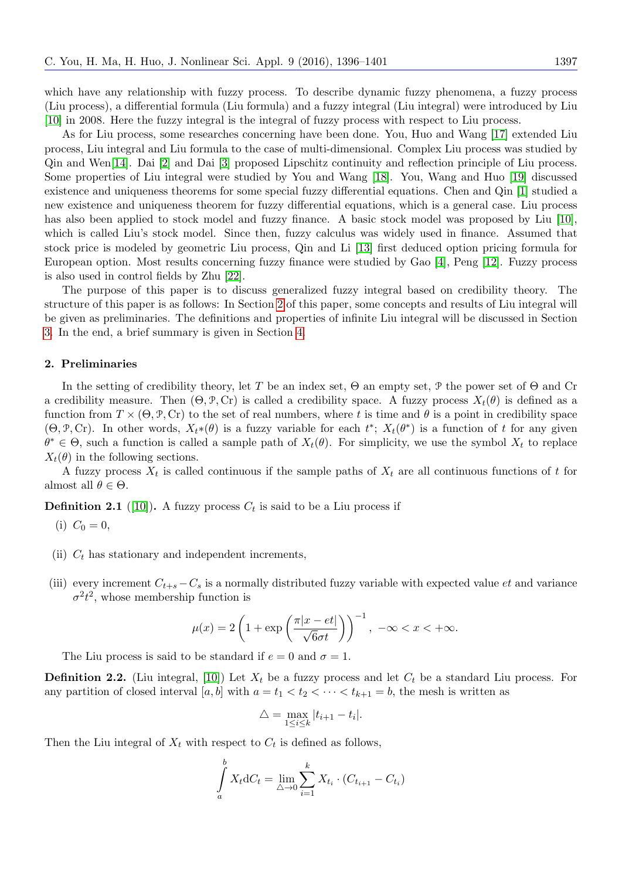which have any relationship with fuzzy process. To describe dynamic fuzzy phenomena, a fuzzy process (Liu process), a differential formula (Liu formula) and a fuzzy integral (Liu integral) were introduced by Liu [\[10\]](#page-5-10) in 2008. Here the fuzzy integral is the integral of fuzzy process with respect to Liu process.

As for Liu process, some researches concerning have been done. You, Huo and Wang [\[17\]](#page-5-11) extended Liu process, Liu integral and Liu formula to the case of multi-dimensional. Complex Liu process was studied by Qin and Wen[\[14\]](#page-5-12). Dai [\[2\]](#page-5-13) and Dai [\[3\]](#page-5-14) proposed Lipschitz continuity and reflection principle of Liu process. Some properties of Liu integral were studied by You and Wang [\[18\]](#page-5-15). You, Wang and Huo [\[19\]](#page-5-16) discussed existence and uniqueness theorems for some special fuzzy differential equations. Chen and Qin [\[1\]](#page-5-17) studied a new existence and uniqueness theorem for fuzzy differential equations, which is a general case. Liu process has also been applied to stock model and fuzzy finance. A basic stock model was proposed by Liu [\[10\]](#page-5-10), which is called Liu's stock model. Since then, fuzzy calculus was widely used in finance. Assumed that stock price is modeled by geometric Liu process, Qin and Li [\[13\]](#page-5-18) first deduced option pricing formula for European option. Most results concerning fuzzy finance were studied by Gao [\[4\]](#page-5-19), Peng [\[12\]](#page-5-20). Fuzzy process is also used in control fields by Zhu [\[22\]](#page-5-21).

The purpose of this paper is to discuss generalized fuzzy integral based on credibility theory. The structure of this paper is as follows: In Section [2](#page-1-0) of this paper, some concepts and results of Liu integral will be given as preliminaries. The definitions and properties of infinite Liu integral will be discussed in Section [3.](#page-2-0) In the end, a brief summary is given in Section [4.](#page-5-22)

## <span id="page-1-0"></span>2. Preliminaries

In the setting of credibility theory, let T be an index set,  $\Theta$  an empty set, P the power set of  $\Theta$  and Cr a credibility measure. Then  $(\Theta, \mathcal{P}, \mathbf{Cr})$  is called a credibility space. A fuzzy process  $X_t(\theta)$  is defined as a function from  $T \times (\Theta, \mathcal{P}, \text{Cr})$  to the set of real numbers, where t is time and  $\theta$  is a point in credibility space  $(\Theta, \mathcal{P}, \text{Cr})$ . In other words,  $X_t^*(\theta)$  is a fuzzy variable for each  $t^*$ ;  $X_t(\theta^*)$  is a function of t for any given  $\theta^* \in \Theta$ , such a function is called a sample path of  $X_t(\theta)$ . For simplicity, we use the symbol  $X_t$  to replace  $X_t(\theta)$  in the following sections.

A fuzzy process  $X_t$  is called continuous if the sample paths of  $X_t$  are all continuous functions of t for almost all  $\theta \in \Theta$ .

<span id="page-1-1"></span>**Definition 2.1** ([\[10\]](#page-5-10)). A fuzzy process  $C_t$  is said to be a Liu process if

(i) 
$$
C_0 = 0
$$
,

- (ii)  $C_t$  has stationary and independent increments,
- (iii) every increment  $C_{t+s} C_s$  is a normally distributed fuzzy variable with expected value  $et$  and variance  $\sigma^2 t^2$ , whose membership function is

$$
\mu(x) = 2\left(1 + \exp\left(\frac{\pi|x - et|}{\sqrt{6}\sigma t}\right)\right)^{-1}, \ -\infty < x < +\infty.
$$

The Liu process is said to be standard if  $e = 0$  and  $\sigma = 1$ .

<span id="page-1-2"></span>**Definition 2.2.** (Liu integral, [\[10\]](#page-5-10)) Let  $X_t$  be a fuzzy process and let  $C_t$  be a standard Liu process. For any partition of closed interval [a, b] with  $a = t_1 < t_2 < \cdots < t_{k+1} = b$ , the mesh is written as

$$
\triangle = \max_{1 \le i \le k} |t_{i+1} - t_i|.
$$

Then the Liu integral of  $X_t$  with respect to  $C_t$  is defined as follows,

$$
\int_{a}^{b} X_{t} dC_{t} = \lim_{\triangle \to 0} \sum_{i=1}^{k} X_{t_{i}} \cdot (C_{t_{i+1}} - C_{t_{i}})
$$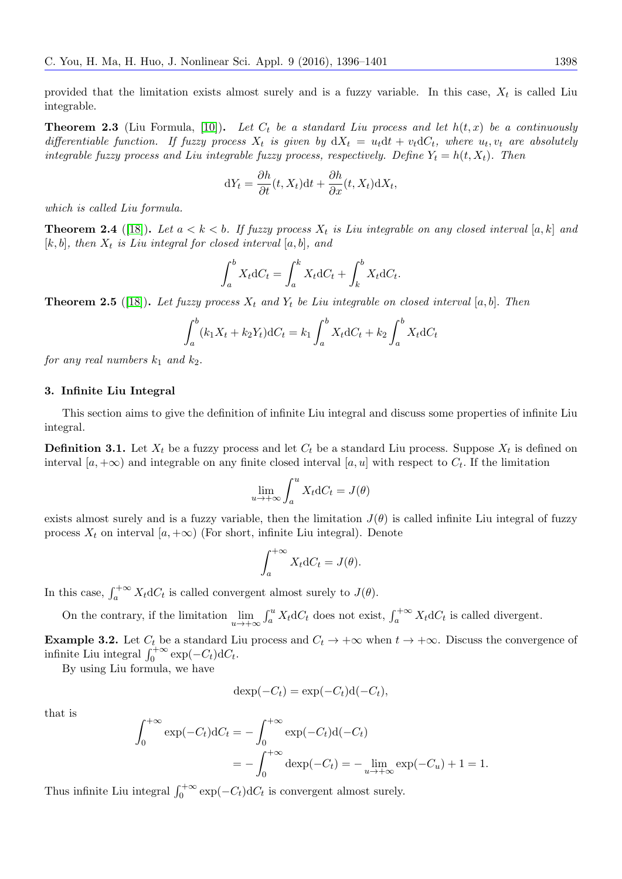provided that the limitation exists almost surely and is a fuzzy variable. In this case,  $X_t$  is called Liu integrable.

<span id="page-2-3"></span>**Theorem 2.3** (Liu Formula, [\[10\]](#page-5-10)). Let  $C_t$  be a standard Liu process and let  $h(t, x)$  be a continuously differentiable function. If fuzzy process  $X_t$  is given by  $dX_t = u_t dt + v_t dC_t$ , where  $u_t, v_t$  are absolutely integrable fuzzy process and Liu integrable fuzzy process, respectively. Define  $Y_t = h(t, X_t)$ . Then

$$
dY_t = \frac{\partial h}{\partial t}(t, X_t)dt + \frac{\partial h}{\partial x}(t, X_t)dX_t,
$$

which is called Liu formula.

<span id="page-2-1"></span>**Theorem 2.4** ([\[18\]](#page-5-15)). Let  $a < k < b$ . If fuzzy process  $X_t$  is Liu integrable on any closed interval [a, k] and  $[k, b]$ , then  $X_t$  is Liu integral for closed interval  $[a, b]$ , and

$$
\int_a^b X_t dC_t = \int_a^k X_t dC_t + \int_k^b X_t dC_t.
$$

<span id="page-2-2"></span>**Theorem 2.5** ([\[18\]](#page-5-15)). Let fuzzy process  $X_t$  and  $Y_t$  be Liu integrable on closed interval [a, b]. Then

$$
\int_{a}^{b} (k_1 X_t + k_2 Y_t) dC_t = k_1 \int_{a}^{b} X_t dC_t + k_2 \int_{a}^{b} X_t dC_t
$$

for any real numbers  $k_1$  and  $k_2$ .

#### <span id="page-2-0"></span>3. Infinite Liu Integral

This section aims to give the definition of infinite Liu integral and discuss some properties of infinite Liu integral.

**Definition 3.1.** Let  $X_t$  be a fuzzy process and let  $C_t$  be a standard Liu process. Suppose  $X_t$  is defined on interval  $[a, +\infty)$  and integrable on any finite closed interval  $[a, u]$  with respect to  $C_t$ . If the limitation

$$
\lim_{u \to +\infty} \int_{a}^{u} X_t dC_t = J(\theta)
$$

exists almost surely and is a fuzzy variable, then the limitation  $J(\theta)$  is called infinite Liu integral of fuzzy process  $X_t$  on interval  $[a, +\infty)$  (For short, infinite Liu integral). Denote

$$
\int_{a}^{+\infty} X_t \mathrm{d}C_t = J(\theta).
$$

In this case,  $\int_a^{+\infty} X_t dC_t$  is called convergent almost surely to  $J(\theta)$ .

On the contrary, if the limitation  $\lim_{u\to+\infty} \int_a^u X_t dC_t$  does not exist,  $\int_a^{+\infty} X_t dC_t$  is called divergent.

**Example 3.2.** Let  $C_t$  be a standard Liu process and  $C_t \to +\infty$  when  $t \to +\infty$ . Discuss the convergence of infinite Liu integral  $\int_0^{+\infty} \exp(-C_t) dC_t$ .

By using Liu formula, we have

$$
\operatorname{dexp}(-C_t) = \exp(-C_t)\operatorname{d}(-C_t),
$$

that is

$$
\int_0^{+\infty} \exp(-C_t) dC_t = -\int_0^{+\infty} \exp(-C_t) d(-C_t)
$$
  
= 
$$
-\int_0^{+\infty} \deg(-C_t) dC_t = -\lim_{u \to +\infty} \exp(-C_u) + 1 = 1.
$$

Thus infinite Liu integral  $\int_0^{+\infty} \exp(-C_t) dC_t$  is convergent almost surely.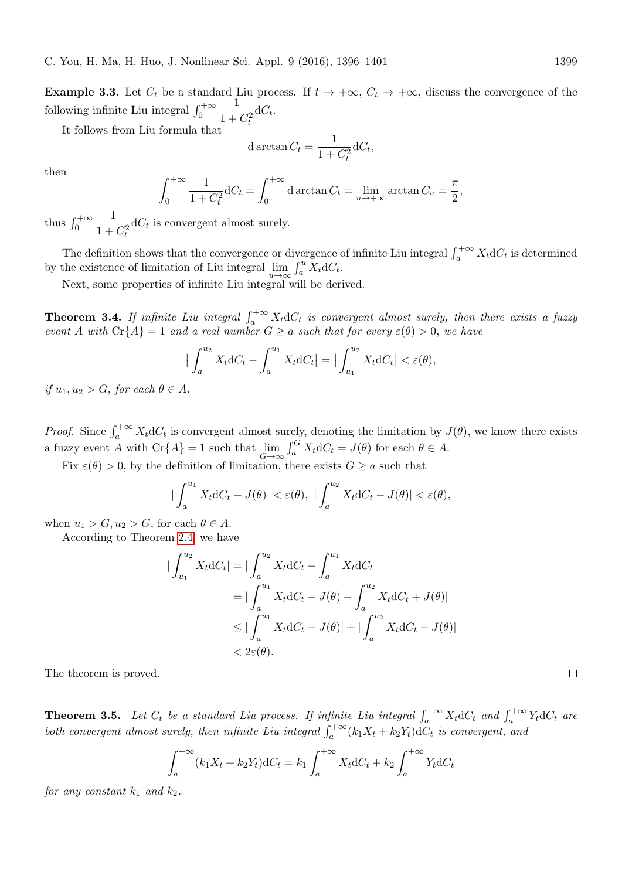**Example 3.3.** Let  $C_t$  be a standard Liu process. If  $t \to +\infty$ ,  $C_t \to +\infty$ , discuss the convergence of the following infinite Liu integral  $\int_0^{+\infty}$ 1  $1 + C_t^2$  $dC_t$ .

It follows from Liu formula that

d 
$$
\arctan C_t = \frac{1}{1 + C_t^2} dC_t,
$$

then

$$
\int_0^{+\infty} \frac{1}{1+C_t^2} dC_t = \int_0^{+\infty} d\arctan C_t = \lim_{u \to +\infty} \arctan C_u = \frac{\pi}{2},
$$

thus  $\int_0^{+\infty}$ 1  $1 + C_t^2$  $dC_t$  is convergent almost surely.

The definition shows that the convergence or divergence of infinite Liu integral  $\int_a^{+\infty} X_t dC_t$  is determined by the existence of limitation of Liu integral  $\lim_{u \to \infty} \int_a^u \overline{X}_t dC_t$ .

Next, some properties of infinite Liu integral will be derived.

**Theorem 3.4.** If infinite Liu integral  $\int_{a}^{+\infty} X_t dC_t$  is convergent almost surely, then there exists a fuzzy event A with  $C_r{A} = 1$  and a real number  $G \ge a$  such that for every  $\varepsilon(\theta) > 0$ , we have

$$
\left| \int_a^{u_2} X_t \mathrm{d}C_t - \int_a^{u_1} X_t \mathrm{d}C_t \right| = \left| \int_{u_1}^{u_2} X_t \mathrm{d}C_t \right| < \varepsilon(\theta),
$$

if  $u_1, u_2 > G$ , for each  $\theta \in A$ .

*Proof.* Since  $\int_a^{+\infty} X_t dC_t$  is convergent almost surely, denoting the limitation by  $J(\theta)$ , we know there exists a fuzzy event  $\overline{A}$  with  $\text{Cr}\{A\} = 1$  such that  $\lim_{G \to \infty} \int_a^G X_t dC_t = J(\theta)$  for each  $\theta \in A$ .

Fix  $\varepsilon(\theta) > 0$ , by the definition of limitation, there exists  $G \ge a$  such that

$$
\left|\int_{a}^{u_1} X_t \mathrm{d}C_t - J(\theta)\right| < \varepsilon(\theta), \left|\int_{a}^{u_2} X_t \mathrm{d}C_t - J(\theta)\right| < \varepsilon(\theta),
$$

when  $u_1 > G, u_2 > G$ , for each  $\theta \in A$ .

According to Theorem [2.4,](#page-2-1) we have

$$
\begin{aligned} \left| \int_{u_1}^{u_2} X_t \mathrm{d}C_t \right| &= \left| \int_a^{u_2} X_t \mathrm{d}C_t - \int_a^{u_1} X_t \mathrm{d}C_t \right| \\ &= \left| \int_a^{u_1} X_t \mathrm{d}C_t - J(\theta) - \int_a^{u_2} X_t \mathrm{d}C_t + J(\theta) \right| \\ &\leq \left| \int_a^{u_1} X_t \mathrm{d}C_t - J(\theta) \right| + \left| \int_a^{u_2} X_t \mathrm{d}C_t - J(\theta) \right| \\ &< 2\varepsilon(\theta). \end{aligned}
$$

The theorem is proved.

**Theorem 3.5.** Let  $C_t$  be a standard Liu process. If infinite Liu integral  $\int_a^{+\infty} X_t dC_t$  and  $\int_a^{+\infty} Y_t dC_t$  are both convergent almost surely, then infinite Liu integral  $\int_a^{+\infty} (k_1X_t + k_2Y_t) dC_t$  is convergent, and

$$
\int_a^{+\infty} (k_1 X_t + k_2 Y_t) dC_t = k_1 \int_a^{+\infty} X_t dC_t + k_2 \int_a^{+\infty} Y_t dC_t
$$

for any constant  $k_1$  and  $k_2$ .

 $\Box$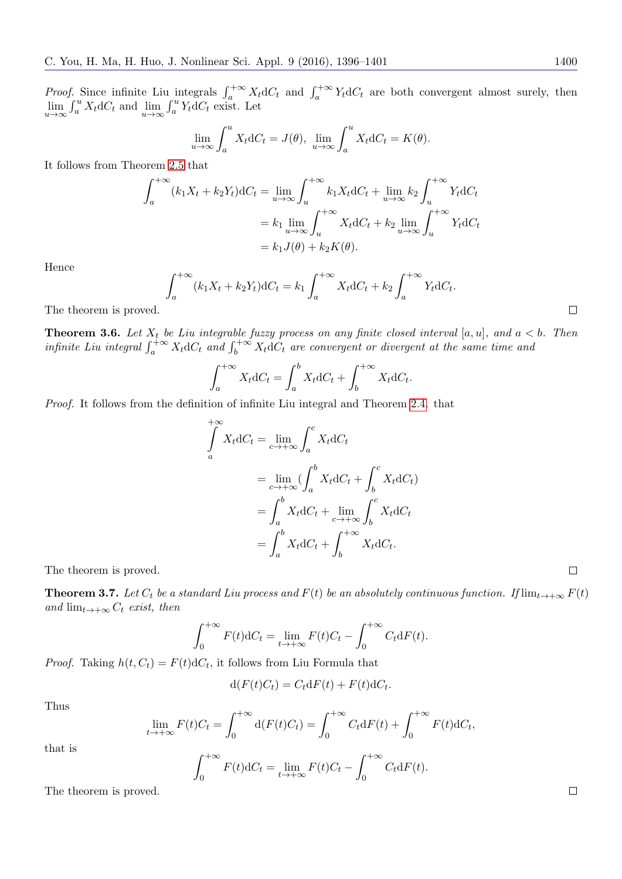*Proof.* Since infinite Liu integrals  $\int_a^{+\infty} X_t dC_t$  and  $\int_a^{+\infty} Y_t dC_t$  are both convergent almost surely, then  $\lim_{u\to\infty} \int_a^u X_t dC_t$  and  $\lim_{u\to\infty} \int_a^u Y_t dC_t$  exist. Let

$$
\lim_{u \to \infty} \int_{a}^{u} X_t dC_t = J(\theta), \lim_{u \to \infty} \int_{a}^{u} X_t dC_t = K(\theta).
$$

It follows from Theorem [2.5](#page-2-2) that

$$
\int_{a}^{+\infty} (k_1 X_t + k_2 Y_t) dC_t = \lim_{u \to \infty} \int_{u}^{+\infty} k_1 X_t dC_t + \lim_{u \to \infty} k_2 \int_{u}^{+\infty} Y_t dC_t
$$

$$
= k_1 \lim_{u \to \infty} \int_{u}^{+\infty} X_t dC_t + k_2 \lim_{u \to \infty} \int_{u}^{+\infty} Y_t dC_t
$$

$$
= k_1 J(\theta) + k_2 K(\theta).
$$

Hence

$$
\int_{a}^{+\infty} (k_1 X_t + k_2 Y_t) dC_t = k_1 \int_{a}^{+\infty} X_t dC_t + k_2 \int_{a}^{+\infty} Y_t dC_t
$$

The theorem is proved.

**Theorem 3.6.** Let  $X_t$  be Liu integrable fuzzy process on any finite closed interval [a, u], and  $a < b$ . Then infinite Liu integral  $\int_a^{+\infty} X_t dC_t$  and  $\int_b^{+\infty} X_t dC_t$  are convergent or divergent at the same time and

$$
\int_{a}^{+\infty} X_t dC_t = \int_{a}^{b} X_t dC_t + \int_{b}^{+\infty} X_t dC_t.
$$

Proof. It follows from the definition of infinite Liu integral and Theorem [2.4.](#page-2-1) that

$$
\int_{a}^{+\infty} X_t dC_t = \lim_{c \to +\infty} \int_{a}^{c} X_t dC_t
$$
\n
$$
= \lim_{c \to +\infty} (\int_{a}^{b} X_t dC_t + \int_{b}^{c} X_t dC_t)
$$
\n
$$
= \int_{a}^{b} X_t dC_t + \lim_{c \to +\infty} \int_{b}^{c} X_t dC_t
$$
\n
$$
= \int_{a}^{b} X_t dC_t + \int_{b}^{+\infty} X_t dC_t.
$$

.

The theorem is proved.

**Theorem 3.7.** Let  $C_t$  be a standard Liu process and  $F(t)$  be an absolutely continuous function. If  $\lim_{t\to+\infty} F(t)$ and  $\lim_{t\to+\infty} C_t$  exist, then

$$
\int_0^{+\infty} F(t) dC_t = \lim_{t \to +\infty} F(t)C_t - \int_0^{+\infty} C_t dF(t).
$$

*Proof.* Taking  $h(t, C_t) = F(t) dC_t$ , it follows from Liu Formula that

$$
d(F(t)C_t) = C_t dF(t) + F(t) dC_t.
$$

Thus

$$
\lim_{t \to +\infty} F(t)C_t = \int_0^{+\infty} \mathrm{d}(F(t)C_t) = \int_0^{+\infty} C_t \mathrm{d}F(t) + \int_0^{+\infty} F(t) \mathrm{d}C_t,
$$

that is

 $\int^{+\infty}$  $\mathbf{0}$  $F(t) dC_t = \lim_{t \to +\infty} F(t)C_t - \int_0^{+\infty}$  $\mathbf{0}$  $C_t dF(t)$ .

The theorem is proved.

 $\Box$ 

 $\Box$